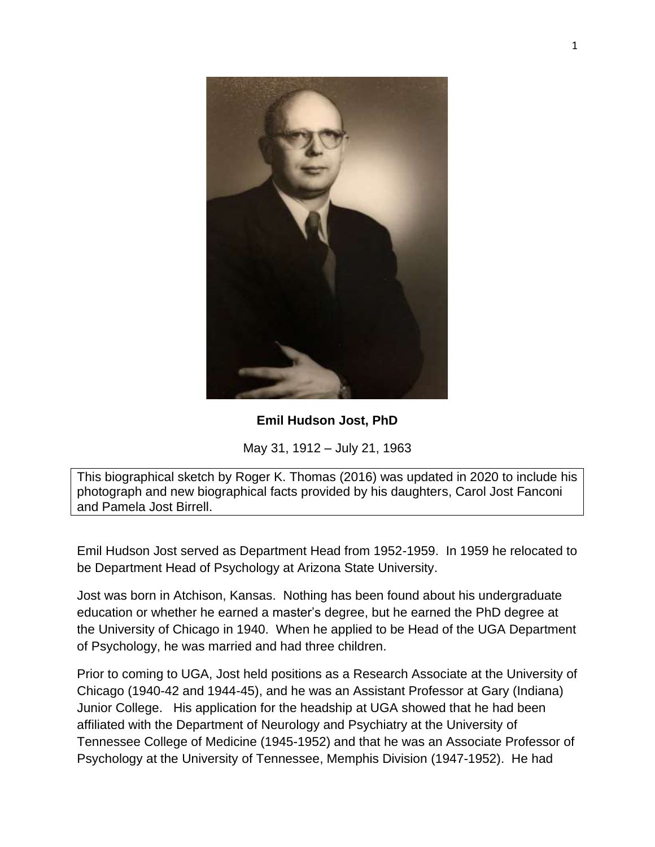

## **Emil Hudson Jost, PhD**

May 31, 1912 – July 21, 1963

This biographical sketch by Roger K. Thomas (2016) was updated in 2020 to include his photograph and new biographical facts provided by his daughters, Carol Jost Fanconi and Pamela Jost Birrell.

Emil Hudson Jost served as Department Head from 1952-1959. In 1959 he relocated to be Department Head of Psychology at Arizona State University.

Jost was born in Atchison, Kansas. Nothing has been found about his undergraduate education or whether he earned a master's degree, but he earned the PhD degree at the University of Chicago in 1940. When he applied to be Head of the UGA Department of Psychology, he was married and had three children.

Prior to coming to UGA, Jost held positions as a Research Associate at the University of Chicago (1940-42 and 1944-45), and he was an Assistant Professor at Gary (Indiana) Junior College. His application for the headship at UGA showed that he had been affiliated with the Department of Neurology and Psychiatry at the University of Tennessee College of Medicine (1945-1952) and that he was an Associate Professor of Psychology at the University of Tennessee, Memphis Division (1947-1952). He had